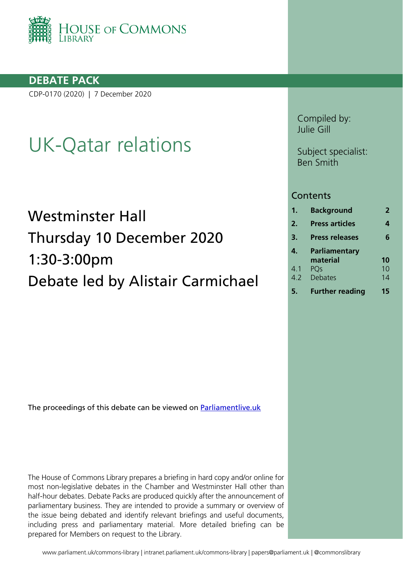

## **DEBATE PACK**

CDP-0170 (2020) | 7 December 2020

# UK-Qatar relations

# Westminster Hall Thursday 10 December 2020 1:30-3:00pm Debate led by Alistair Carmichael

The proceedings of this debate can be viewed on **Parliamentlive.uk** 

The House of Commons Library prepares a briefing in hard copy and/or online for most non-legislative debates in the Chamber and Westminster Hall other than half-hour debates. Debate Packs are produced quickly after the announcement of parliamentary business. They are intended to provide a summary or overview of the issue being debated and identify relevant briefings and useful documents, including press and parliamentary material. More detailed briefing can be prepared for Members on request to the Library.

Compiled by: Julie Gill

Subject specialist: Ben Smith

#### **Contents**

| 1.             | <b>Background</b>      | 2  |
|----------------|------------------------|----|
| $\mathbf{2}$ . | <b>Press articles</b>  | 4  |
| 3.             | <b>Press releases</b>  | 6  |
| 4.             | <b>Parliamentary</b>   |    |
|                | material               | 10 |
| 4.1            | PQs                    | 10 |
| 4.2            | <b>Debates</b>         | 14 |
| 5.             | <b>Further reading</b> | 15 |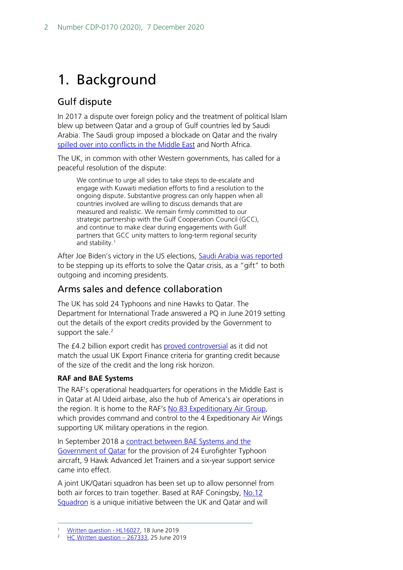## <span id="page-1-0"></span>1. Background

## Gulf dispute

In 2017 a dispute over foreign policy and the treatment of political Islam blew up between Qatar and a group of Gulf countries led by Saudi Arabia. The Saudi group imposed a blockade on Qatar and the rivalry [spilled over into conflicts in the Middle East](http://researchbriefings.parliament.uk/ResearchBriefing/Summary/CBP-8690) and North Africa.

The UK, in common with other Western governments, has called for a peaceful resolution of the dispute:

We continue to urge all sides to take steps to de-escalate and engage with Kuwaiti mediation efforts to find a resolution to the ongoing dispute. Substantive progress can only happen when all countries involved are willing to discuss demands that are measured and realistic. We remain firmly committed to our strategic partnership with the Gulf Cooperation Council (GCC), and continue to make clear during engagements with Gulf partners that GCC unity matters to long-term regional security and stability.[1](#page-1-1)

After Joe Biden's victory in the US elections, [Saudi Arabia was reported](https://www.ft.com/content/ae7e041f-ff4b-4df7-8b2b-06488e17a91c?desktop=true&segmentId=dd5c99e9-30be-ddd0-c634-ff3a0c2b738f#myft:notification:daily-email:content) to be stepping up its efforts to solve the Qatar crisis, as a "gift" to both outgoing and incoming presidents.

## Arms sales and defence collaboration

The UK has sold 24 Typhoons and nine Hawks to Qatar. The Department for International Trade answered a PQ in June 2019 setting out the details of the export credits provided by the Government to support the sale.<sup>[2](#page-1-2)</sup>

The £4.2 billion export credit has [proved controversial](http://data.parliament.uk/DepositedPapers/files/DEP2018-0872/Angus_MacNeil_letter-signed.pdf) as it did not match the usual UK Export Finance criteria for granting credit because of the size of the credit and the long risk horizon.

#### **RAF and BAE Systems**

The RAF's operational headquarters for operations in the Middle East is in Qatar at Al Udeid airbase, also the hub of America's air operations in the region. It is home to the RAF's [No 83 Expeditionary Air Group,](https://www.raf.mod.uk/our-organisation/groups/no-83-expeditionary-air-group/) which provides command and control to the 4 Expeditionary Air Wings supporting UK military operations in the region.

In September 2018 a contract between BAE Systems and the [Government of Qatar](https://ukdefencejournal.org.uk/qatar-typhoon-and-hawk-programme-in-full-swing-say-bae/) for the provision of 24 Eurofighter Typhoon aircraft, 9 Hawk Advanced Jet Trainers and a six-year support service came into effect.

A joint UK/Qatari squadron has been set up to allow personnel from both air forces to train together. Based at RAF Coningsby, [No.12](https://www.gov.uk/government/news/uk-qatari-typhoons-take-off-as-joint-squadron)  [Squadron](https://www.gov.uk/government/news/uk-qatari-typhoons-take-off-as-joint-squadron) is a unique initiative between the UK and Qatar and will

<span id="page-1-2"></span><span id="page-1-1"></span> $\frac{1}{2}$  [Written question -](https://www.parliament.uk/written-questions-answers-statements/written-question/lords/2019-06-04/HL16027) HL16027, 18 June 2019

<sup>2</sup> [HC Written question –](https://www.parliament.uk/written-questions-answers-statements/written-question/commons/2019-06-20/267333) 267333, 25 June 2019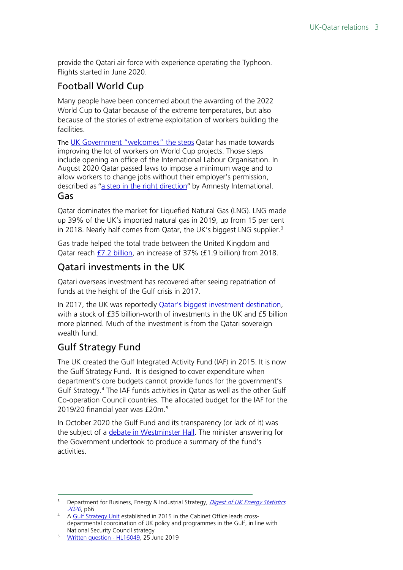provide the Qatari air force with experience operating the Typhoon. Flights started in June 2020.

## Football World Cup

Many people have been concerned about the awarding of the 2022 World Cup to Qatar because of the extreme temperatures, but also because of the stories of extreme exploitation of workers building the facilities.

The [UK Government "welcomes" the steps](https://questions-statements.parliament.uk/written-questions/detail/2019-10-28/HL474) Qatar has made towards improving the lot of workers on World Cup projects. Those steps include opening an office of the International Labour Organisation. In August 2020 Qatar passed laws to impose a minimum wage and to allow workers to change jobs without their employer's permission, described as "[a step in the right direction](https://www.amnesty.org/en/latest/news/2020/08/qatar-annoucement-kafala-reforms/)" by Amnesty International.

### Gas

Qatar dominates the market for Liquefied Natural Gas (LNG). LNG made up 39% of the UK's imported natural gas in 2019, up from 15 per cent in 2018. Nearly half comes from Qatar, the UK's biggest LNG supplier.<sup>[3](#page-2-0)</sup>

Gas trade helped the total trade between the United Kingdom and Qatar reach [£7.2 billion,](https://questions-statements.parliament.uk/written-questions/detail/2020-07-09/71911) an increase of 37% (£1.9 billion) from 2018.

## Qatari investments in the UK

Qatari overseas investment has recovered after seeing repatriation of funds at the height of the Gulf crisis in 2017.

In 2017, the UK was reportedly **Qatar's biggest investment destination**, with a stock of £35 billion-worth of investments in the UK and £5 billion more planned. Much of the investment is from the Qatari sovereign wealth fund.

## Gulf Strategy Fund

The UK created the Gulf Integrated Activity Fund (IAF) in 2015. It is now the Gulf Strategy Fund. It is designed to cover expenditure when department's core budgets cannot provide funds for the government's Gulf Strategy.[4](#page-2-1) The IAF funds activities in Qatar as well as the other Gulf Co-operation Council countries. The allocated budget for the IAF for the 2019/20 financial year was £20m. [5](#page-2-2)

In October 2020 the Gulf Fund and its transparency (or lack of it) was the subject of a *debate in Westminster Hall*. The minister answering for the Government undertook to produce a summary of the fund's activities.

<span id="page-2-0"></span>Department for Business, Energy & Industrial Strategy, Digest of UK Energy Statistics [202](https://assets.publishing.service.gov.uk/government/uploads/system/uploads/attachment_data/file/912021/DUKES_2020_Chapter_4.pdf)0, p66

<span id="page-2-1"></span><sup>4</sup> A [Gulf Strategy Unit](https://assets.publishing.service.gov.uk/government/uploads/system/uploads/attachment_data/file/575378/national_security_strategy_strategic_defence_security_review_annual_report_2016.pdf) established in 2015 in the Cabinet Office leads crossdepartmental coordination of UK policy and programmes in the Gulf, in line with National Security Council strategy

<span id="page-2-2"></span><sup>5</sup> [Written question -](https://www.parliament.uk/written-questions-answers-statements/written-question/lords/2019-06-04/HL16049) HL16049, 25 June 2019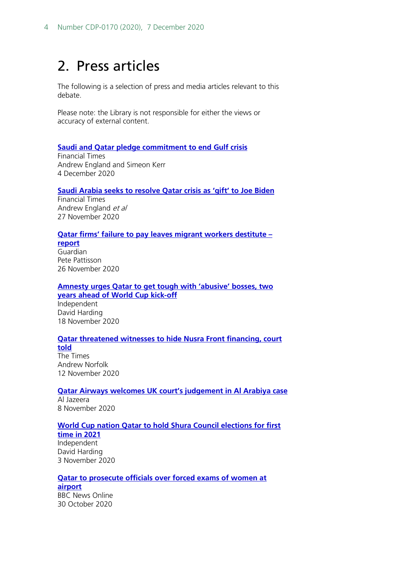## <span id="page-3-0"></span>2. Press articles

The following is a selection of press and media articles relevant to this debate.

Please note: the Library is not responsible for either the views or accuracy of external content.

#### **[Saudi and Qatar pledge commitment to end Gulf crisis](https://www.ft.com/content/5ea4f29c-33bc-42e2-8e2c-57ba900dd0a8)**

Financial Times Andrew England and Simeon Kerr 4 December 2020

#### **[Saudi Arabia seeks to resolve Qatar crisis as 'gift' to Joe Biden](https://www.ft.com/content/ae7e041f-ff4b-4df7-8b2b-06488e17a91c)**

Financial Times Andrew England et al 27 November 2020

#### **[Qatar firms' failure to pay leaves migrant workers destitute –](https://www.theguardian.com/global-development/2020/nov/26/qatar-firms-failure-to-pay-leaves-migrant-workers-destitute-report)**

**[report](https://www.theguardian.com/global-development/2020/nov/26/qatar-firms-failure-to-pay-leaves-migrant-workers-destitute-report)** Guardian Pete Pattisson 26 November 2020

**[Amnesty urges Qatar to get tough with 'abusive' bosses, two](https://www.independent.co.uk/news/world/middle-east/qatar-world-cup-reforms-2022-b1724476.html)  [years ahead of World Cup kick-off](https://www.independent.co.uk/news/world/middle-east/qatar-world-cup-reforms-2022-b1724476.html)** Independent David Harding 18 November 2020

#### **[Qatar threatened witnesses to hide Nusra Front financing, court](https://www.thetimes.co.uk/article/qatar-threatened-witnesses-to-hide-nusra-front-financing-court-told-b8nhxbdrt)  [told](https://www.thetimes.co.uk/article/qatar-threatened-witnesses-to-hide-nusra-front-financing-court-told-b8nhxbdrt)**

The Times Andrew Norfolk 12 November 2020

#### **[Qatar Airways welcomes UK court's judgement in Al Arabiya case](https://www.aljazeera.com/news/2020/11/8/qatar-airways-files-lawsuit-against-al-arabiya-in-uk-court)** Al Jazeera

8 November 2020

#### **[World Cup nation Qatar to hold Shura Council elections for first](https://www.independent.co.uk/news/world/middle-east/qatar-shura-council-election-world-cup-b1562780.html)**

**[time in 2021](https://www.independent.co.uk/news/world/middle-east/qatar-shura-council-election-world-cup-b1562780.html)** Independent David Harding 3 November 2020

#### **[Qatar to prosecute officials over forced exams of women at](https://www.bbc.co.uk/news/world-asia-54747504)  [airport](https://www.bbc.co.uk/news/world-asia-54747504)** BBC News Online

30 October 2020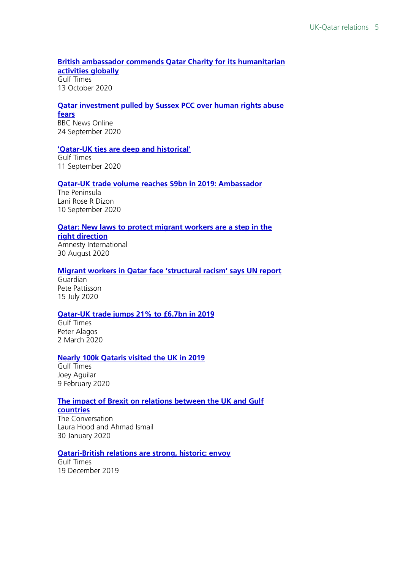#### **[British ambassador commends Qatar Charity for its humanitarian](https://m.gulf-times.com/story/675261/British-ambassador-commends-Qatar-Charity-for-its-humanitarian-activities-globally)  [activities globally](https://m.gulf-times.com/story/675261/British-ambassador-commends-Qatar-Charity-for-its-humanitarian-activities-globally)** Gulf Times 13 October 2020

#### **[Qatar investment pulled by Sussex PCC over human rights abuse](https://www.bbc.co.uk/news/uk-england-sussex-54280626)  [fears](https://www.bbc.co.uk/news/uk-england-sussex-54280626)**

BBC News Online 24 September 2020

#### **['Qatar-UK ties are deep and historical'](https://www.gulf-times.com/story/672681/Qatar-UK-ties-are-deep-and-historical)**

Gulf Times 11 September 2020

#### **[Qatar-UK trade volume reaches \\$9bn in 2019: Ambassador](https://thepeninsulaqatar.com/article/10/09/2020/Qatar-UK-trade-volume-reaches-$9bn-in-2019-Ambassador)**

The Peninsula Lani Rose R Dizon 10 September 2020

#### **[Qatar: New laws to protect migrant workers are a step in the](https://www.amnesty.org/en/latest/news/2020/08/qatar-annoucement-kafala-reforms/)**

**[right direction](https://www.amnesty.org/en/latest/news/2020/08/qatar-annoucement-kafala-reforms/)** Amnesty International 30 August 2020

#### **[Migrant workers in Qatar face 'structural racism' says UN report](https://www.theguardian.com/global-development/2020/jul/15/migrant-workers-in-qatar-face-structural-racism-says-un-report)**

Guardian Pete Pattisson 15 July 2020

#### **[Qatar-UK trade jumps 21% to £6.7bn in 2019](https://www.gulf-times.com/story/657386/Qatar-UK-trade-jumps-21-to-6-7bn-in-2019)**

Gulf Times Peter Alagos 2 March 2020

#### **[Nearly 100k Qataris visited the UK in 2019](http://desktop.gulf-times.com/story/655453/Nearly-100k-Qataris-visited-the-UK-in-2019#tag_100043)**

Gulf Times Joey Aguilar 9 February 2020

#### **[The impact of Brexit on relations between the UK and Gulf](https://theconversation.com/the-impact-of-brexit-on-relations-between-the-uk-and-gulf-countries-130820)**

**[countries](https://theconversation.com/the-impact-of-brexit-on-relations-between-the-uk-and-gulf-countries-130820)** The Conversation Laura Hood and Ahmad Ismail

## 30 January 2020 **[Qatari-British relations are strong, historic: envoy](https://www.gulf-times.com/story/651040/Qatari-British-relations-are-strong-historic-envoy)**

Gulf Times 19 December 2019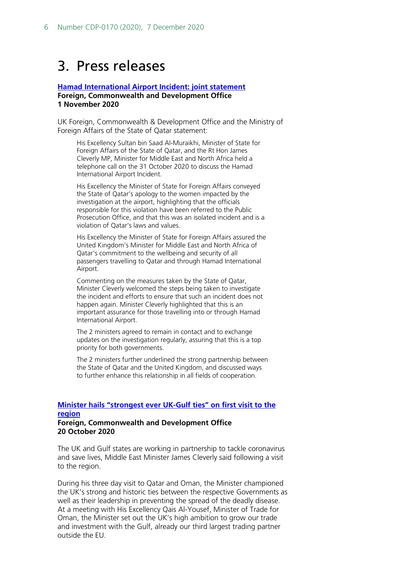## <span id="page-5-0"></span>3. Press releases

#### **[Hamad International Airport Incident: joint statement](https://www.gov.uk/government/news/joint-statement-on-the-hamad-international-airport-incident) Foreign, Commonwealth and Development Office 1 November 2020**

UK Foreign, Commonwealth & Development Office and the Ministry of Foreign Affairs of the State of Qatar statement:

His Excellency Sultan bin Saad Al-Muraikhi, Minister of State for Foreign Affairs of the State of Qatar, and the Rt Hon James Cleverly MP, Minister for Middle East and North Africa held a telephone call on the 31 October 2020 to discuss the Hamad International Airport Incident.

His Excellency the Minister of State for Foreign Affairs conveyed the State of Qatar's apology to the women impacted by the investigation at the airport, highlighting that the officials responsible for this violation have been referred to the Public Prosecution Office, and that this was an isolated incident and is a violation of Qatar's laws and values.

His Excellency the Minister of State for Foreign Affairs assured the United Kingdom's Minister for Middle East and North Africa of Qatar's commitment to the wellbeing and security of all passengers travelling to Qatar and through Hamad International Airport.

Commenting on the measures taken by the State of Qatar, Minister Cleverly welcomed the steps being taken to investigate the incident and efforts to ensure that such an incident does not happen again. Minister Cleverly highlighted that this is an important assurance for those travelling into or through Hamad International Airport.

The 2 ministers agreed to remain in contact and to exchange updates on the investigation regularly, assuring that this is a top priority for both governments.

The 2 ministers further underlined the strong partnership between the State of Qatar and the United Kingdom, and discussed ways to further enhance this relationship in all fields of cooperation.

#### **[Minister hails "strongest ever UK-Gulf ties" on first visit to the](https://www.gov.uk/government/news/minister-hails-strongest-ever-uk-gulf-ties-on-first-visit-to-the-region)  [region](https://www.gov.uk/government/news/minister-hails-strongest-ever-uk-gulf-ties-on-first-visit-to-the-region) Foreign, Commonwealth and Development Office 20 October 2020**

The UK and Gulf states are working in partnership to tackle coronavirus and save lives, Middle East Minister James Cleverly said following a visit to the region.

During his three day visit to Qatar and Oman, the Minister championed the UK's strong and historic ties between the respective Governments as well as their leadership in preventing the spread of the deadly disease. At a meeting with His Excellency Qais Al-Yousef, Minister of Trade for Oman, the Minister set out the UK's high ambition to grow our trade and investment with the Gulf, already our third largest trading partner outside the EU.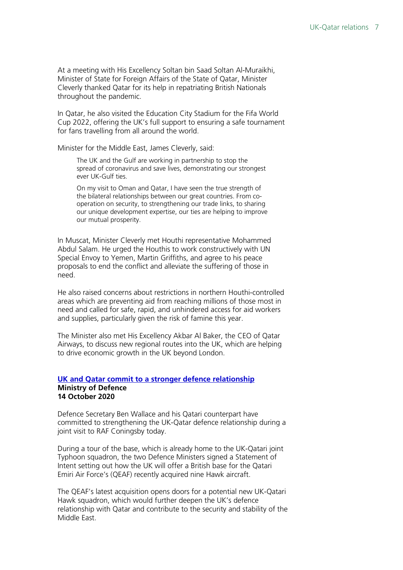At a meeting with His Excellency Soltan bin Saad Soltan Al-Muraikhi, Minister of State for Foreign Affairs of the State of Qatar, Minister Cleverly thanked Qatar for its help in repatriating British Nationals throughout the pandemic.

In Qatar, he also visited the Education City Stadium for the Fifa World Cup 2022, offering the UK's full support to ensuring a safe tournament for fans travelling from all around the world.

Minister for the Middle East, James Cleverly, said:

The UK and the Gulf are working in partnership to stop the spread of coronavirus and save lives, demonstrating our strongest ever UK-Gulf ties.

On my visit to Oman and Qatar, I have seen the true strength of the bilateral relationships between our great countries. From cooperation on security, to strengthening our trade links, to sharing our unique development expertise, our ties are helping to improve our mutual prosperity.

In Muscat, Minister Cleverly met Houthi representative Mohammed Abdul Salam. He urged the Houthis to work constructively with UN Special Envoy to Yemen, Martin Griffiths, and agree to his peace proposals to end the conflict and alleviate the suffering of those in need.

He also raised concerns about restrictions in northern Houthi-controlled areas which are preventing aid from reaching millions of those most in need and called for safe, rapid, and unhindered access for aid workers and supplies, particularly given the risk of famine this year.

The Minister also met His Excellency Akbar Al Baker, the CEO of Qatar Airways, to discuss new regional routes into the UK, which are helping to drive economic growth in the UK beyond London.

#### **[UK and Qatar commit to a stronger defence relationship](https://www.gov.uk/government/news/uk-and-qatar-commit-to-a-stronger-defence-relationship--2) Ministry of Defence 14 October 2020**

Defence Secretary Ben Wallace and his Qatari counterpart have committed to strengthening the UK-Qatar defence relationship during a joint visit to RAF Coningsby today.

During a tour of the base, which is already home to the UK-Qatari joint Typhoon squadron, the two Defence Ministers signed a Statement of Intent setting out how the UK will offer a British base for the Qatari Emiri Air Force's (QEAF) recently acquired nine Hawk aircraft.

The QEAF's latest acquisition opens doors for a potential new UK-Qatari Hawk squadron, which would further deepen the UK's defence relationship with Qatar and contribute to the security and stability of the Middle East.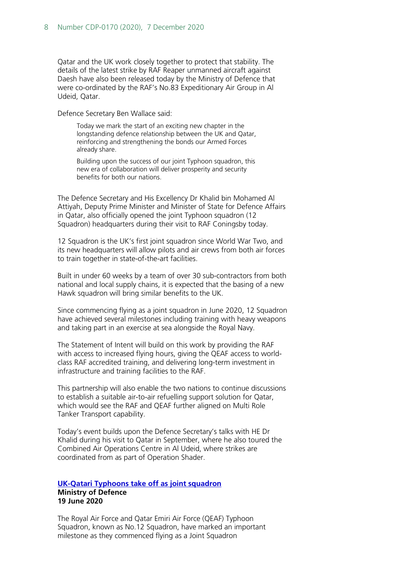Qatar and the UK work closely together to protect that stability. The details of the latest strike by RAF Reaper unmanned aircraft against Daesh have also been released today by the Ministry of Defence that were co-ordinated by the RAF's No.83 Expeditionary Air Group in Al Udeid, Qatar.

Defence Secretary Ben Wallace said:

Today we mark the start of an exciting new chapter in the longstanding defence relationship between the UK and Qatar, reinforcing and strengthening the bonds our Armed Forces already share.

Building upon the success of our joint Typhoon squadron, this new era of collaboration will deliver prosperity and security benefits for both our nations.

The Defence Secretary and His Excellency Dr Khalid bin Mohamed Al Attiyah, Deputy Prime Minister and Minister of State for Defence Affairs in Qatar, also officially opened the joint Typhoon squadron (12 Squadron) headquarters during their visit to RAF Coningsby today.

12 Squadron is the UK's first joint squadron since World War Two, and its new headquarters will allow pilots and air crews from both air forces to train together in state-of-the-art facilities.

Built in under 60 weeks by a team of over 30 sub-contractors from both national and local supply chains, it is expected that the basing of a new Hawk squadron will bring similar benefits to the UK.

Since commencing flying as a joint squadron in June 2020, 12 Squadron have achieved several milestones including training with heavy weapons and taking part in an exercise at sea alongside the Royal Navy.

The Statement of Intent will build on this work by providing the RAF with access to increased flying hours, giving the QEAF access to worldclass RAF accredited training, and delivering long-term investment in infrastructure and training facilities to the RAF.

This partnership will also enable the two nations to continue discussions to establish a suitable air-to-air refuelling support solution for Qatar, which would see the RAF and QEAF further aligned on Multi Role Tanker Transport capability.

Today's event builds upon the Defence Secretary's talks with HE Dr Khalid during his visit to Qatar in September, where he also toured the Combined Air Operations Centre in Al Udeid, where strikes are coordinated from as part of Operation Shader.

#### **[UK-Qatari Typhoons take off as joint squadron](https://www.gov.uk/government/news/uk-qatari-typhoons-take-off-as-joint-squadron) Ministry of Defence 19 June 2020**

The Royal Air Force and Qatar Emiri Air Force (QEAF) Typhoon Squadron, known as No.12 Squadron, have marked an important milestone as they commenced flying as a Joint Squadron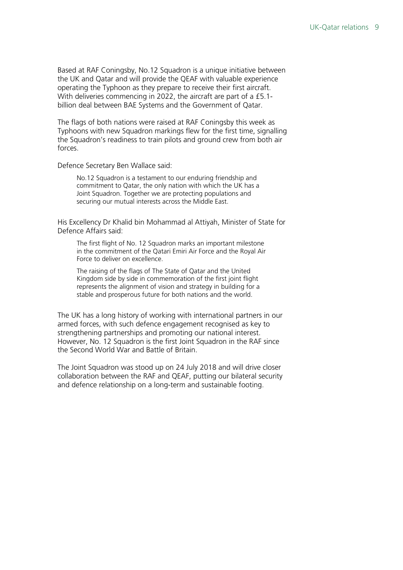Based at RAF Coningsby, No.12 Squadron is a unique initiative between the UK and Qatar and will provide the QEAF with valuable experience operating the Typhoon as they prepare to receive their first aircraft. With deliveries commencing in 2022, the aircraft are part of a £5.1 billion deal between BAE Systems and the Government of Qatar.

The flags of both nations were raised at RAF Coningsby this week as Typhoons with new Squadron markings flew for the first time, signalling the Squadron's readiness to train pilots and ground crew from both air forces.

Defence Secretary Ben Wallace said:

No.12 Squadron is a testament to our enduring friendship and commitment to Qatar, the only nation with which the UK has a Joint Squadron. Together we are protecting populations and securing our mutual interests across the Middle East.

His Excellency Dr Khalid bin Mohammad al Attiyah, Minister of State for Defence Affairs said:

The first flight of No. 12 Squadron marks an important milestone in the commitment of the Qatari Emiri Air Force and the Royal Air Force to deliver on excellence.

The raising of the flags of The State of Qatar and the United Kingdom side by side in commemoration of the first joint flight represents the alignment of vision and strategy in building for a stable and prosperous future for both nations and the world.

The UK has a long history of working with international partners in our armed forces, with such defence engagement recognised as key to strengthening partnerships and promoting our national interest. However, No. 12 Squadron is the first Joint Squadron in the RAF since the Second World War and Battle of Britain.

The Joint Squadron was stood up on 24 July 2018 and will drive closer collaboration between the RAF and QEAF, putting our bilateral security and defence relationship on a long-term and sustainable footing.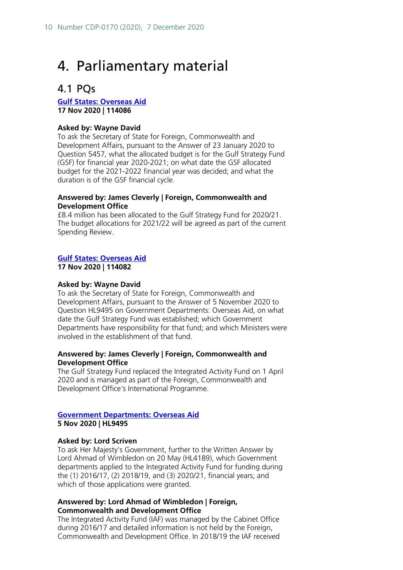## <span id="page-9-0"></span>4. Parliamentary material

## <span id="page-9-1"></span>4.1 PQs

**[Gulf States: Overseas Aid](https://questions-statements.parliament.uk/written-questions/detail/2020-11-11/114086) 17 Nov 2020 | 114086**

#### **Asked by: Wayne David**

To ask the Secretary of State for Foreign, Commonwealth and Development Affairs, pursuant to the Answer of 23 January 2020 to Question 5457, what the allocated budget is for the Gulf Strategy Fund (GSF) for financial year 2020-2021; on what date the GSF allocated budget for the 2021-2022 financial year was decided; and what the duration is of the GSF financial cycle.

#### **Answered by: James Cleverly | Foreign, Commonwealth and Development Office**

£8.4 million has been allocated to the Gulf Strategy Fund for 2020/21. The budget allocations for 2021/22 will be agreed as part of the current Spending Review.

#### **[Gulf States: Overseas Aid](https://questions-statements.parliament.uk/written-questions/detail/2020-11-11/114082)**

**17 Nov 2020 | 114082**

#### **Asked by: Wayne David**

To ask the Secretary of State for Foreign, Commonwealth and Development Affairs, pursuant to the Answer of 5 November 2020 to Question HL9495 on Government Departments: Overseas Aid, on what date the Gulf Strategy Fund was established; which Government Departments have responsibility for that fund; and which Ministers were involved in the establishment of that fund.

#### **Answered by: James Cleverly | Foreign, Commonwealth and Development Office**

The Gulf Strategy Fund replaced the Integrated Activity Fund on 1 April 2020 and is managed as part of the Foreign, Commonwealth and Development Office's International Programme.

## **[Government Departments: Overseas Aid](https://questions-statements.parliament.uk/written-questions/detail/2020-10-22/HL9495)**

**5 Nov 2020 | HL9495**

#### **Asked by: Lord Scriven**

To ask Her Majesty's Government, further to the Written Answer by Lord Ahmad of Wimbledon on 20 May (HL4189), which Government departments applied to the Integrated Activity Fund for funding during the (1) 2016/17, (2) 2018/19, and (3) 2020/21, financial years; and which of those applications were granted.

#### **Answered by: Lord Ahmad of Wimbledon | Foreign, Commonwealth and Development Office**

The Integrated Activity Fund (IAF) was managed by the Cabinet Office during 2016/17 and detailed information is not held by the Foreign, Commonwealth and Development Office. In 2018/19 the IAF received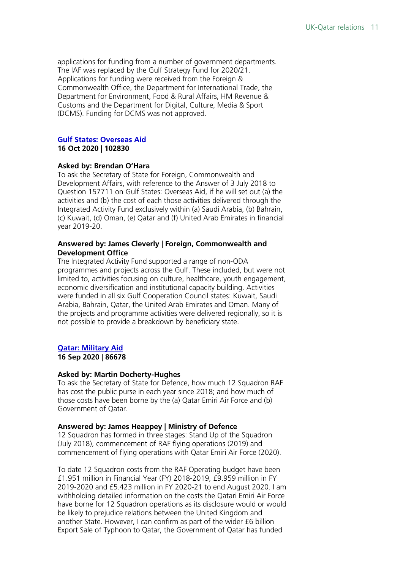applications for funding from a number of government departments. The IAF was replaced by the Gulf Strategy Fund for 2020/21. Applications for funding were received from the Foreign & Commonwealth Office, the Department for International Trade, the Department for Environment, Food & Rural Affairs, HM Revenue & Customs and the Department for Digital, Culture, Media & Sport (DCMS). Funding for DCMS was not approved.

#### **[Gulf States: Overseas Aid](https://questions-statements.parliament.uk/written-questions/detail/2020-10-13/102830)**

#### **16 Oct 2020 | 102830**

#### **Asked by: Brendan O'Hara**

To ask the Secretary of State for Foreign, Commonwealth and Development Affairs, with reference to the Answer of 3 July 2018 to Question 157711 on Gulf States: Overseas Aid, if he will set out (a) the activities and (b) the cost of each those activities delivered through the Integrated Activity Fund exclusively within (a) Saudi Arabia, (b) Bahrain, (c) Kuwait, (d) Oman, (e) Qatar and (f) United Arab Emirates in financial year 2019-20.

#### **Answered by: James Cleverly | Foreign, Commonwealth and Development Office**

The Integrated Activity Fund supported a range of non-ODA programmes and projects across the Gulf. These included, but were not limited to, activities focusing on culture, healthcare, youth engagement, economic diversification and institutional capacity building. Activities were funded in all six Gulf Cooperation Council states: Kuwait, Saudi Arabia, Bahrain, Qatar, the United Arab Emirates and Oman. Many of the projects and programme activities were delivered regionally, so it is not possible to provide a breakdown by beneficiary state.

#### **[Qatar: Military Aid](https://questions-statements.parliament.uk/written-questions/detail/2020-09-08/86678)**

**16 Sep 2020 | 86678**

#### **Asked by: Martin Docherty-Hughes**

To ask the Secretary of State for Defence, how much 12 Squadron RAF has cost the public purse in each year since 2018; and how much of those costs have been borne by the (a) Qatar Emiri Air Force and (b) Government of Qatar.

#### **Answered by: James Heappey | Ministry of Defence**

12 Squadron has formed in three stages: Stand Up of the Squadron (July 2018), commencement of RAF flying operations (2019) and commencement of flying operations with Qatar Emiri Air Force (2020).

To date 12 Squadron costs from the RAF Operating budget have been £1.951 million in Financial Year (FY) 2018-2019, £9.959 million in FY 2019-2020 and £5.423 million in FY 2020-21 to end August 2020. I am withholding detailed information on the costs the Qatari Emiri Air Force have borne for 12 Squadron operations as its disclosure would or would be likely to prejudice relations between the United Kingdom and another State. However, I can confirm as part of the wider £6 billion Export Sale of Typhoon to Qatar, the Government of Qatar has funded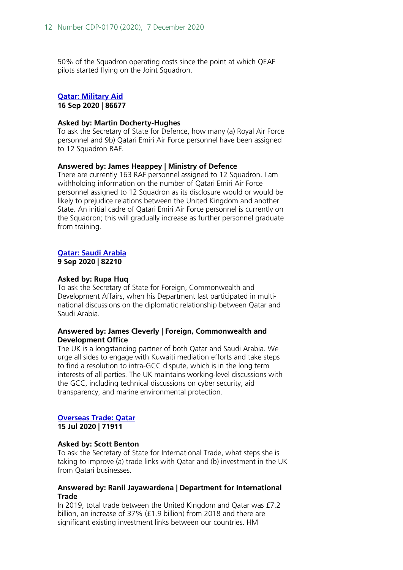50% of the Squadron operating costs since the point at which QEAF pilots started flying on the Joint Squadron.

#### **[Qatar: Military Aid](https://questions-statements.parliament.uk/written-questions/detail/2020-09-08/86677)**

**16 Sep 2020 | 86677**

#### **Asked by: Martin Docherty-Hughes**

To ask the Secretary of State for Defence, how many (a) Royal Air Force personnel and 9b) Qatari Emiri Air Force personnel have been assigned to 12 Squadron RAF.

#### **Answered by: James Heappey | Ministry of Defence**

There are currently 163 RAF personnel assigned to 12 Squadron. I am withholding information on the number of Qatari Emiri Air Force personnel assigned to 12 Squadron as its disclosure would or would be likely to prejudice relations between the United Kingdom and another State. An initial cadre of Qatari Emiri Air Force personnel is currently on the Squadron; this will gradually increase as further personnel graduate from training.

#### **[Qatar: Saudi Arabia](https://questions-statements.parliament.uk/written-questions/detail/2020-08-28/82210)**

**9 Sep 2020 | 82210**

#### **Asked by: Rupa Huq**

To ask the Secretary of State for Foreign, Commonwealth and Development Affairs, when his Department last participated in multinational discussions on the diplomatic relationship between Qatar and Saudi Arabia.

#### **Answered by: James Cleverly | Foreign, Commonwealth and Development Office**

The UK is a longstanding partner of both Qatar and Saudi Arabia. We urge all sides to engage with Kuwaiti mediation efforts and take steps to find a resolution to intra-GCC dispute, which is in the long term interests of all parties. The UK maintains working-level discussions with the GCC, including technical discussions on cyber security, aid transparency, and marine environmental protection.

#### **[Overseas Trade: Qatar](https://questions-statements.parliament.uk/written-questions/detail/2020-07-09/71911) 15 Jul 2020 | 71911**

#### **Asked by: Scott Benton**

To ask the Secretary of State for International Trade, what steps she is taking to improve (a) trade links with Qatar and (b) investment in the UK from Qatari businesses.

#### **Answered by: Ranil Jayawardena | Department for International Trade**

In 2019, total trade between the United Kingdom and Qatar was £7.2 billion, an increase of 37% (£1.9 billion) from 2018 and there are significant existing investment links between our countries. HM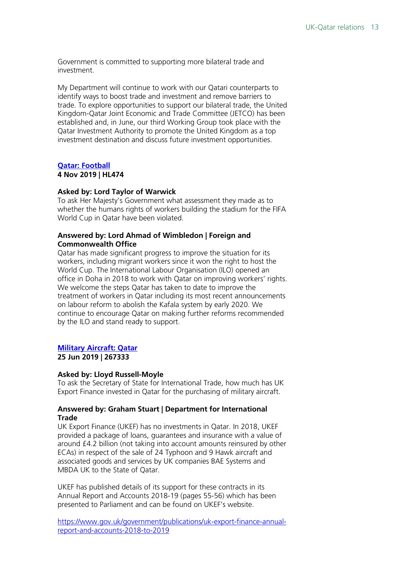Government is committed to supporting more bilateral trade and investment.

My Department will continue to work with our Qatari counterparts to identify ways to boost trade and investment and remove barriers to trade. To explore opportunities to support our bilateral trade, the United Kingdom-Qatar Joint Economic and Trade Committee (JETCO) has been established and, in June, our third Working Group took place with the Qatar Investment Authority to promote the United Kingdom as a top investment destination and discuss future investment opportunities.

## **[Qatar: Football](https://questions-statements.parliament.uk/written-questions/detail/2019-10-28/HL474)**

### **4 Nov 2019 | HL474**

#### **Asked by: Lord Taylor of Warwick**

To ask Her Majesty's Government what assessment they made as to whether the humans rights of workers building the stadium for the FIFA World Cup in Qatar have been violated.

#### **Answered by: Lord Ahmad of Wimbledon | Foreign and Commonwealth Office**

Qatar has made significant progress to improve the situation for its workers, including migrant workers since it won the right to host the World Cup. The International Labour Organisation (ILO) opened an office in Doha in 2018 to work with Qatar on improving workers' rights. We welcome the steps Qatar has taken to date to improve the treatment of workers in Qatar including its most recent announcements on labour reform to abolish the Kafala system by early 2020. We continue to encourage Qatar on making further reforms recommended by the ILO and stand ready to support.

#### **[Military Aircraft: Qatar](https://questions-statements.parliament.uk/written-questions/detail/2019-06-20/267333) 25 Jun 2019 | 267333**

#### **Asked by: Lloyd Russell-Moyle**

To ask the Secretary of State for International Trade, how much has UK Export Finance invested in Qatar for the purchasing of military aircraft.

#### **Answered by: Graham Stuart | Department for International Trade**

UK Export Finance (UKEF) has no investments in Qatar. In 2018, UKEF provided a package of loans, guarantees and insurance with a value of around £4.2 billion (not taking into account amounts reinsured by other ECAs) in respect of the sale of 24 Typhoon and 9 Hawk aircraft and associated goods and services by UK companies BAE Systems and MBDA UK to the State of Qatar.

UKEF has published details of its support for these contracts in its Annual Report and Accounts 2018-19 (pages 55-56) which has been presented to Parliament and can be found on UKEF's website.

[https://www.gov.uk/government/publications/uk-export-finance-annual](https://www.gov.uk/government/publications/uk-export-finance-annual-report-and-accounts-2018-to-2019)[report-and-accounts-2018-to-2019](https://www.gov.uk/government/publications/uk-export-finance-annual-report-and-accounts-2018-to-2019)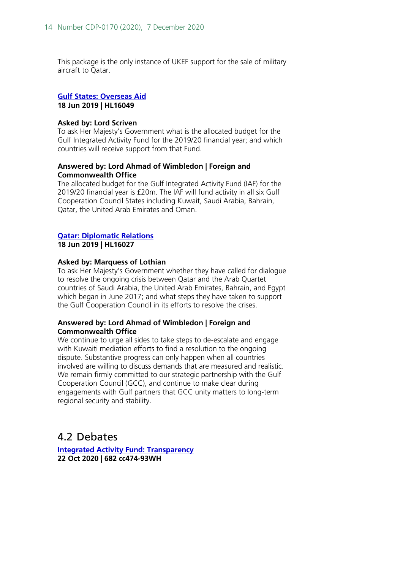This package is the only instance of UKEF support for the sale of military aircraft to Qatar.

#### **[Gulf States: Overseas Aid](https://questions-statements.parliament.uk/written-questions/detail/2019-06-04/HL16049) 18 Jun 2019 | HL16049**

#### **Asked by: Lord Scriven**

To ask Her Majesty's Government what is the allocated budget for the Gulf Integrated Activity Fund for the 2019/20 financial year; and which countries will receive support from that Fund.

#### **Answered by: Lord Ahmad of Wimbledon | Foreign and Commonwealth Office**

The allocated budget for the Gulf Integrated Activity Fund (IAF) for the 2019/20 financial year is £20m. The IAF will fund activity in all six Gulf Cooperation Council States including Kuwait, Saudi Arabia, Bahrain, Qatar, the United Arab Emirates and Oman.

#### **[Qatar: Diplomatic Relations](https://questions-statements.parliament.uk/written-questions/detail/2019-06-04/HL16027) 18 Jun 2019 | HL16027**

#### **Asked by: Marquess of Lothian**

To ask Her Majesty's Government whether they have called for dialogue to resolve the ongoing crisis between Qatar and the Arab Quartet countries of Saudi Arabia, the United Arab Emirates, Bahrain, and Egypt which began in June 2017; and what steps they have taken to support the Gulf Cooperation Council in its efforts to resolve the crises.

#### **Answered by: Lord Ahmad of Wimbledon | Foreign and Commonwealth Office**

We continue to urge all sides to take steps to de-escalate and engage with Kuwaiti mediation efforts to find a resolution to the ongoing dispute. Substantive progress can only happen when all countries involved are willing to discuss demands that are measured and realistic. We remain firmly committed to our strategic partnership with the Gulf Cooperation Council (GCC), and continue to make clear during engagements with Gulf partners that GCC unity matters to long-term regional security and stability.

## <span id="page-13-0"></span>4.2 Debates

**[Integrated Activity Fund: Transparency](https://hansard.parliament.uk/Commons/2020-10-22/debates/1A17E46F-FA72-4AFD-B682-CE37E56F794B/IntegratedActivityFundTransparency) 22 Oct 2020 | 682 cc474-93WH**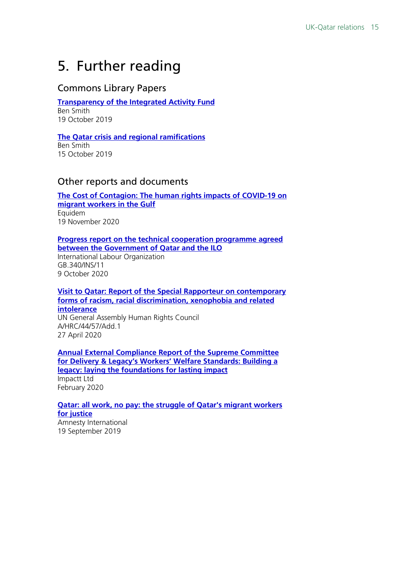## <span id="page-14-0"></span>5. Further reading

## Commons Library Papers

#### **[Transparency of the Integrated Activity Fund](https://commonslibrary.parliament.uk/research-briefings/cdp-2020-0109/)**

Ben Smith 19 October 2019

#### **[The Qatar crisis and regional ramifications](https://commonslibrary.parliament.uk/research-briefings/cbp-8690/)**

Ben Smith 15 October 2019

### Other reports and documents

**The Cost of Contagion: [The human rights impacts of COVID-19 on](https://www.equidem.org/assets/downloads/1837_Equidem_The_Cost_of_Congation_Report_ART_WEB.pdf)  [migrant workers in the Gulf](https://www.equidem.org/assets/downloads/1837_Equidem_The_Cost_of_Congation_Report_ART_WEB.pdf)** Equidem 19 November 2020

#### **[Progress report on the technical cooperation programme agreed](https://www.ilo.org/wcmsp5/groups/public/---ed_norm/---relconf/documents/meetingdocument/wcms_757599.pdf)  [between the Government of Qatar and the ILO](https://www.ilo.org/wcmsp5/groups/public/---ed_norm/---relconf/documents/meetingdocument/wcms_757599.pdf)**

International Labour Organization GB.340/INS/11 9 October 2020

**[Visit to Qatar: Report of the Special Rapporteur on contemporary](https://undocs.org/en/A/HRC/44/57/Add.1)  [forms of racism, racial discrimination, xenophobia and related](https://undocs.org/en/A/HRC/44/57/Add.1)  [intolerance](https://undocs.org/en/A/HRC/44/57/Add.1)** UN General Assembly Human Rights Council A/HRC/44/57/Add.1 27 April 2020

**[Annual External Compliance Report of the Supreme Committee](https://www.qatar2022.qa/sites/default/files/documents/Impactt-Ltd-Compliance-Report-February-2020.pdf)  [for Delivery & Legacy's Workers' Welfare Standards: Building a](https://www.qatar2022.qa/sites/default/files/documents/Impactt-Ltd-Compliance-Report-February-2020.pdf)  [legacy: laying the foundations for lasting impact](https://www.qatar2022.qa/sites/default/files/documents/Impactt-Ltd-Compliance-Report-February-2020.pdf)** Impactt Ltd February 2020

#### **[Qatar: all work, no pay: the struggle of Qatar's migrant workers](https://www.amnesty.org/download/Documents/MDE2207932019ENGLISH.PDF)  [for justice](https://www.amnesty.org/download/Documents/MDE2207932019ENGLISH.PDF)** Amnesty International

19 September 2019